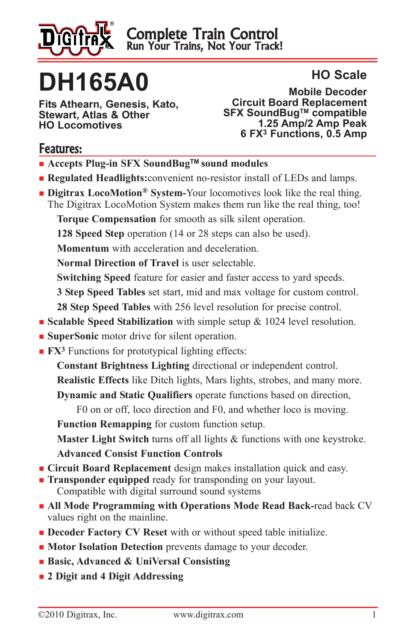

# **DH165A0**

**Fits Athearn, Genesis, Kato, Stewart, Atlas & Other HO Locomotives**

#### **HO Scale**

**Mobile Decoder Circuit Board Replacement SFX SoundBugTM compatible 1.25 Amp/2 Amp Peak 6 FX3 Functions, 0.5 Amp** 

#### Features:

- Accepts Plug-in SFX SoundBug<sup>™</sup> sound modules
- **Regulated Headlights:** convenient no-resistor install of LEDs and lamps.
- **Digitrax LocoMotion<sup>®</sup> System-Your locomotives look like the real thing.** The Digitrax LocoMotion System makes them run like the real thing, too!

**Torque Compensation** for smooth as silk silent operation.

**128 Speed Step** operation (14 or 28 steps can also be used).

**Momentum** with acceleration and deceleration.

**Normal Direction of Travel** is user selectable.

**Switching Speed** feature for easier and faster access to yard speeds.

**3 Step Speed Tables** set start, mid and max voltage for custom control.

**28 Step Speed Tables** with 256 level resolution for precise control.

- **Example Speed Stabilization** with simple setup & 1024 level resolution.
- **n** SuperSonic motor drive for silent operation.
- **FX<sup>3</sup>** Functions for prototypical lighting effects:

**Constant Brightness Lighting** directional or independent control.

**Realistic Effects** like Ditch lights, Mars lights, strobes, and many more.

**Dynamic and Static Qualifiers** operate functions based on direction,

F0 on or off, loco direction and F0, and whether loco is moving.

**Function Remapping** for custom function setup.

**Master Light Switch** turns off all lights & functions with one keystroke.

**Advanced Consist Function Controls**

- **Circuit Board Replacement** design makes installation quick and easy.
- **Transponder equipped** ready for transponding on your layout. Compatible with digital surround sound systems
- **n** All Mode Programming with Operations Mode Read Back-read back CV values right on the mainline.
- **n Decoder Factory CV Reset** with or without speed table initialize.
- **n Motor Isolation Detection** prevents damage to your decoder.
- <sup>n</sup> **Basic, Advanced & UniVersal Consisting**
- <sup>n</sup> **2 Digit and 4 Digit Addressing**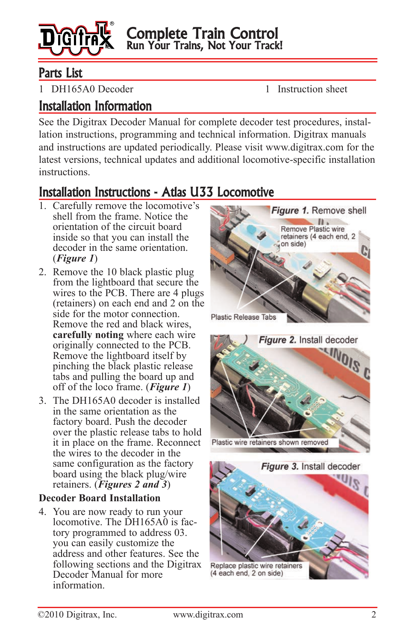

#### Parts List

1 DH165A0 Decoder 1 Instruction sheet

#### Installation Information

See the Digitrax Decoder Manual for complete decoder test procedures, installation instructions, programming and technical information. Digitrax manuals and instructions are updated periodically. Please visit www.digitrax.com for the latest versions, technical updates and additional locomotive-specific installation instructions.

## Installation Instructions - Atlas U33 Locomotive

- 1. Carefully remove the locomotive's shell from the frame. Notice the orientation of the circuit board inside so that you can install the decoder in the same orientation. (*Figure 1*)
- 2. Remove the 10 black plastic plug from the lightboard that secure the wires to the PCB. There are 4 plugs (retainers) on each end and 2 on the side for the motor connection. Remove the red and black wires, **carefully noting** where each wire originally connected to the PCB. Remove the lightboard itself by pinching the black plastic release tabs and pulling the board up and off of the loco frame. (*Figure 1*)
- 3. The DH165A0 decoder is installed in the same orientation as the factory board. Push the decoder over the plastic release tabs to hold it in place on the frame. Reconnect the wires to the decoder in the same configuration as the factory board using the black plug/wire retainers. (*Figures 2 and 3*)

#### **Decoder Board Installation**

4. You are now ready to run your locomotive. The DH165A0 is factory programmed to address 03. you can easily customize the address and other features. See the following sections and the Digitrax Decoder Manual for more information.





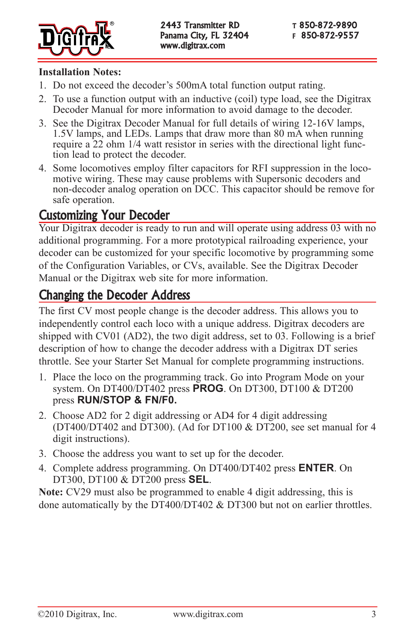

#### **Installation Notes:**

- 1. Do not exceed the decoder's 500mA total function output rating.
- 2. To use a function output with an inductive (coil) type load, see the Digitrax Decoder Manual for more information to avoid damage to the decoder.
- 3. See the Digitrax Decoder Manual for full details of wiring 12-16V lamps, 1.5V lamps, and LEDs. Lamps that draw more than 80 mA when running require a 22 ohm 1/4 watt resistor in series with the directional light function lead to protect the decoder.
- 4. Some locomotives employ filter capacitors for RFI suppression in the locomotive wiring. These may cause problems with Supersonic decoders and non-decoder analog operation on DCC. This capacitor should be remove for safe operation.

#### Customizing Your Decoder

Your Digitrax decoder is ready to run and will operate using address 03 with no additional programming. For a more prototypical railroading experience, your decoder can be customized for your specific locomotive by programming some of the Configuration Variables, or CVs, available. See the Digitrax Decoder Manual or the Digitrax web site for more information.

#### Changing the Decoder Address

The first CV most people change is the decoder address. This allows you to independently control each loco with a unique address. Digitrax decoders are shipped with CV01 (AD2), the two digit address, set to 03. Following is a brief description of how to change the decoder address with a Digitrax DT series throttle. See your Starter Set Manual for complete programming instructions.

- 1. Place the loco on the programming track. Go into Program Mode on your system. On DT400/DT402 press **PROG**. On DT300, DT100 & DT200 press **RUN/STOP & FN/F0.**
- 2. Choose AD2 for 2 digit addressing or AD4 for 4 digit addressing (DT400/DT402 and DT300). (Ad for DT100 & DT200, see set manual for 4 digit instructions).
- 3. Choose the address you want to set up for the decoder.
- 4. Complete address programming. On DT400/DT402 press **ENTER**. On DT300, DT100 & DT200 press **SEL**.

**Note:** CV29 must also be programmed to enable 4 digit addressing, this is done automatically by the DT400/DT402 & DT300 but not on earlier throttles.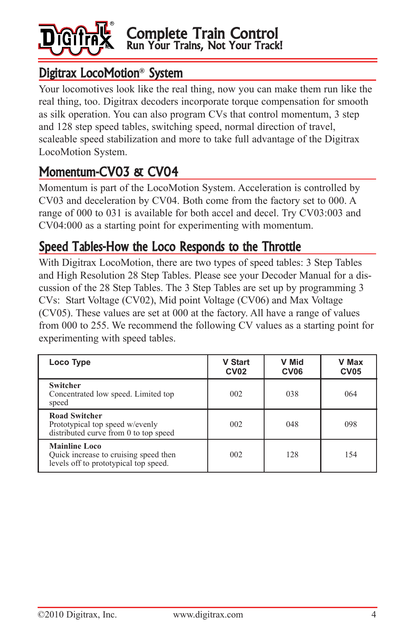

#### Digitrax LocoMotion**®** System

Your locomotives look like the real thing, now you can make them run like the real thing, too. Digitrax decoders incorporate torque compensation for smooth as silk operation. You can also program CVs that control momentum, 3 step and 128 step speed tables, switching speed, normal direction of travel, scaleable speed stabilization and more to take full advantage of the Digitrax LocoMotion System.

# Momentum-CV03 & CV04

Momentum is part of the LocoMotion System. Acceleration is controlled by CV03 and deceleration by CV04. Both come from the factory set to 000. A range of 000 to 031 is available for both accel and decel. Try CV03:003 and CV04:000 as a starting point for experimenting with momentum.

#### Speed Tables-How the Loco Responds to the Throttle

With Digitrax LocoMotion, there are two types of speed tables: 3 Step Tables and High Resolution 28 Step Tables. Please see your Decoder Manual for a discussion of the 28 Step Tables. The 3 Step Tables are set up by programming 3 CVs: Start Voltage (CV02), Mid point Voltage (CV06) and Max Voltage (CV05). These values are set at 000 at the factory. All have a range of values from 000 to 255. We recommend the following CV values as a starting point for experimenting with speed tables.

| Loco Type                                                                                              | <b>V Start</b><br><b>CV02</b> | V Mid<br>CV <sub>06</sub> | V Max<br><b>CV05</b> |
|--------------------------------------------------------------------------------------------------------|-------------------------------|---------------------------|----------------------|
| <b>Switcher</b><br>Concentrated low speed. Limited top<br>speed                                        | 002                           | 038                       | 064                  |
| <b>Road Switcher</b><br>Prototypical top speed w/evenly<br>distributed curve from 0 to top speed       | 002                           | 048                       | 098                  |
| <b>Mainline Loco</b><br>Quick increase to cruising speed then<br>levels off to prototypical top speed. | 002                           | 128                       | 154                  |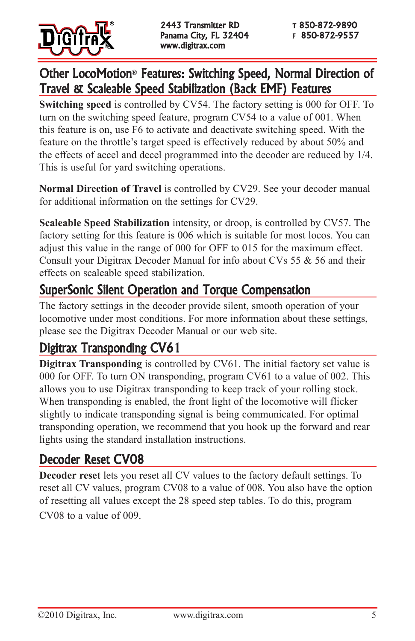

## Other LocoMotion**®** Features: Switching Speed, Normal Direction of Travel & Scaleable Speed Stabilization (Back EMF) Features

**Switching speed** is controlled by CV54. The factory setting is 000 for OFF. To turn on the switching speed feature, program CV54 to a value of 001. When this feature is on, use F6 to activate and deactivate switching speed. With the feature on the throttle's target speed is effectively reduced by about 50% and the effects of accel and decel programmed into the decoder are reduced by 1/4. This is useful for yard switching operations.

**Normal Direction of Travel** is controlled by CV29. See your decoder manual for additional information on the settings for CV29.

**Scaleable Speed Stabilization** intensity, or droop, is controlled by CV57. The factory setting for this feature is 006 which is suitable for most locos. You can adjust this value in the range of 000 for OFF to 015 for the maximum effect. Consult your Digitrax Decoder Manual for info about CVs 55 & 56 and their effects on scaleable speed stabilization.

## SuperSonic Silent Operation and Torque Compensation

The factory settings in the decoder provide silent, smooth operation of your locomotive under most conditions. For more information about these settings, please see the Digitrax Decoder Manual or our web site.

## Digitrax Transponding CV61

**Digitrax Transponding** is controlled by CV61. The initial factory set value is 000 for OFF. To turn ON transponding, program CV61 to a value of 002. This allows you to use Digitrax transponding to keep track of your rolling stock. When transponding is enabled, the front light of the locomotive will flicker slightly to indicate transponding signal is being communicated. For optimal transponding operation, we recommend that you hook up the forward and rear lights using the standard installation instructions.

## Decoder Reset CV08

**Decoder reset** lets you reset all CV values to the factory default settings. To reset all CV values, program CV08 to a value of 008. You also have the option of resetting all values except the 28 speed step tables. To do this, program CV08 to a value of 009.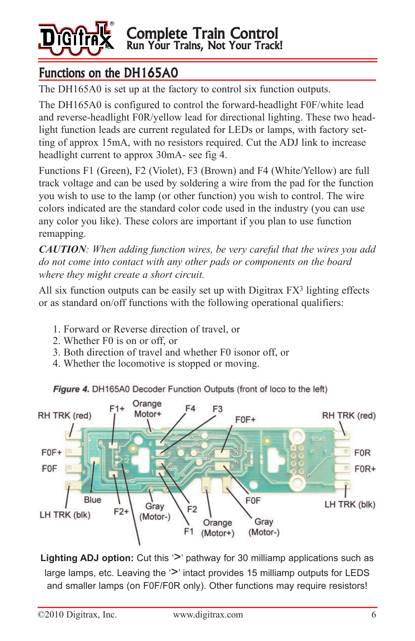

## Functions on the DH165A0

The DH165A0 is set up at the factory to control six function outputs.

The DH165A0 is configured to control the forward-headlight F0F/white lead and reverse-headlight F0R/yellow lead for directional lighting. These two headlight function leads are current regulated for LEDs or lamps, with factory setting of approx 15mA, with no resistors required. Cut the ADJ link to increase headlight current to approx 30mA- see fig 4.

Functions F1 (Green), F2 (Violet), F3 (Brown) and F4 (White/Yellow) are full track voltage and can be used by soldering a wire from the pad for the function you wish to use to the lamp (or other function) you wish to control. The wire colors indicated are the standard color code used in the industry (you can use any color you like). These colors are important if you plan to use function remapping.

*CAUTION: When adding function wires, be very careful that the wires you add do not come into contact with any other pads or components on the board where they might create a short circuit.* 

All six function outputs can be easily set up with Digitrax FX<sup>3</sup> lighting effects or as standard on/off functions with the following operational qualifiers:

- 1. Forward or Reverse direction of travel, or
- 2. Whether F0 is on or off, or
- 3. Both direction of travel and whether F0 isonor off, or
- 4. Whether the locomotive is stopped or moving.

Figure 4. DH165A0 Decoder Function Outputs (front of loco to the left)



Lighting ADJ option: Cut this '>' pathway for 30 milliamp applications such as large lamps, etc. Leaving the  $\geq$  intact provides 15 milliamp outputs for LEDS and smaller lamps (on F0F/F0R only). Other functions may require resistors!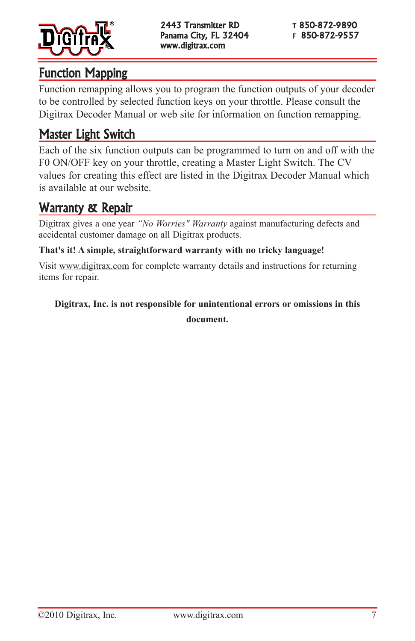

#### Function Mapping

Function remapping allows you to program the function outputs of your decoder to be controlled by selected function keys on your throttle. Please consult the Digitrax Decoder Manual or web site for information on function remapping.

## Master Light Switch

Each of the six function outputs can be programmed to turn on and off with the F0 ON/OFF key on your throttle, creating a Master Light Switch. The CV values for creating this effect are listed in the Digitrax Decoder Manual which is available at our website.

## Warranty & Repair

Digitrax gives a one year *"No Worries" Warranty* against manufacturing defects and accidental customer damage on all Digitrax products.

#### **That's it! A simple, straightforward warranty with no tricky language!**

Visit www.digitrax.com for complete warranty details and instructions for returning items for repair.

# **Digitrax, Inc. is not responsible for unintentional errors or omissions in this**

**document.**